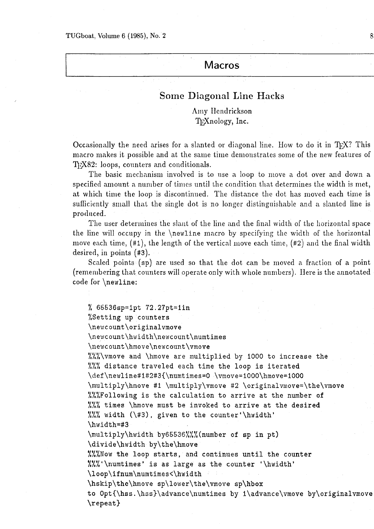### **Macros**

## Some Diagonal Line Hacks

Amy Hendrickson TrXnology, Inc.

Occasionally the need arises for a slanted or diagonal line. How to do it in T $\beta$ X? This macro makes it possible and at the same time demonstrates some of the new features of T<sub>E</sub>X82: loops, counters and conditionals.

The basic mechanism involved is to use a loop to move a dot over and down a specified amount a number of times until the condition that determines the width is met, at which time the loop is discontinued. The distance the dot has moved each time is sufficiently small that the single dot is no longer distinguishable and a slanted line is produced.

The user determines the slant of the line and the final width of the horizontal space the line will occupy in the  $\neq$  newline macro by specifying the width of the horizontal move each time,  $(\#1)$ , the length of the vertical move each time,  $(\#2)$  and the final width desired, in points (#3).

Scaled points (sp) are used so that the dot can be moved a fraction of a point (remembering that counters will operate only with whole numbers). Here is the annotated code for \newline:

% 65536sp=lpt 72.27pt=iin %Setting up counters \newcount\originalvmove **\newcount\hwidth\newcount\numtimes \newcount\hmove\newcount\vmove Ubt** ALA\vmove and \hmove are multiplied by 1000 to increase the **<sup>081</sup>**distance traveled each time the loop is iterated \def\newline#1#2#3{\numtimes=0 \vmove=1000\hmove=1000 \nultiply\hmove #I \multiply\vmove **#2** \originalvrnove=\the\vmove **XXXFollowing is the calculation to arrive at the number of XXX** times \hmove must be invoked to arrive at the desired %%% width  $(\#3)$ , given to the counter'\hwidth' \hwidth=#3 \multiply~hwidth by65536%%%(number of sp in pt) \divide\hwidth by\the\hmove **%%XNow the loop starts, and continues until the counter I\*@** ' \numtimes' is as large as the counter '\hwidth' **\loop\ifnum\numtimes<\hwidth**  \hskip\the\hmove sp\lower\the\vmove sp\hbox to Opt{\hss.\hss}\advance\numtimes by 1\advance\vmove by\originalvmove \repeat)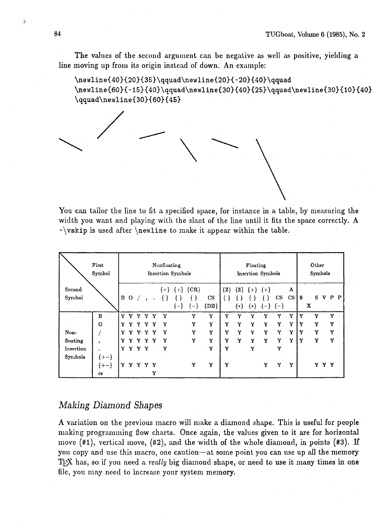The values of the second argument can be negative as well as positive, yielding a line moving up from its origin instcad of down. An example:

```
\newline{40){20}{35}\qquad\newline~20}~-20}{40}\qquad 
\newline{60}{-15}{40}\qquad\newline{30}{40}{25}\qquad\newline{30}{10}{40}
\qquad\newline{30}{60}{45)
```

| You can tailor the line to fit a specified space, for instance in a table, by measuring<br>width you want and playing with the slant of the line until it fits the space correctly.<br>$-\varkappa$ is used after \newline to make it appear within the table. |                                   |                                  |     |           |              |    |        |       |                    |                                  |                                      |         |                                 |   |                          |    |                  |   |       |         |  |
|----------------------------------------------------------------------------------------------------------------------------------------------------------------------------------------------------------------------------------------------------------------|-----------------------------------|----------------------------------|-----|-----------|--------------|----|--------|-------|--------------------|----------------------------------|--------------------------------------|---------|---------------------------------|---|--------------------------|----|------------------|---|-------|---------|--|
|                                                                                                                                                                                                                                                                | First<br>Symbol                   | Nonfloating<br>Insertion Symbols |     |           |              |    |        |       |                    |                                  | Floating<br><b>Insertion Symbols</b> |         |                                 |   |                          |    | Other<br>Symbols |   |       |         |  |
| Second                                                                                                                                                                                                                                                         |                                   |                                  |     |           |              |    |        |       | ${+}$ ${+}$ ${CR}$ |                                  |                                      |         | $\{Z\}$ $\{Z\}$ $\{+\}$ $\{+\}$ |   |                          | A  |                  |   |       |         |  |
| Symbol                                                                                                                                                                                                                                                         |                                   |                                  | B O |           | $\prime$ , . |    | $\{\}$ | ${-}$ | ${-}$              | $\mathbf{C}\mathbf{S}$<br>${DD}$ | $\{\ \}$                             | $\{*\}$ | $\{*\}$                         |   | <b>CS</b><br>${-}$ ${-}$ | CS | $\mathbf{9}$     | x |       | S V P P |  |
|                                                                                                                                                                                                                                                                | B                                 |                                  |     | Y Y Y Y Y |              |    | Y      |       | Y                  | Y                                | Y                                    | Y       | Y                               | Y | Y                        | Y  | Y                | Y |       | Y       |  |
|                                                                                                                                                                                                                                                                | $\mathbf 0$                       |                                  |     |           |              | Y  | Y      |       | Y                  | Y                                | Y                                    | Y       | Y                               | Y | Y                        | Y  | Y                | Y |       | Y       |  |
| Non-                                                                                                                                                                                                                                                           |                                   | Y                                | Y.  | Y.        |              | ΥY | Y      |       | Y                  | Y                                | Y                                    | Y       | Y                               | Y | Y                        | Y  | Y                | Y |       | Y       |  |
| floating                                                                                                                                                                                                                                                       | y.                                |                                  |     |           | Y            |    | Y      |       | Y                  | Y                                | Y                                    | Y       | Y                               | Y | Y                        | Y  | Y                | Y |       | Y       |  |
| Insertion<br>Symbols                                                                                                                                                                                                                                           | ${+ -}$                           |                                  |     | Y Y Y Y   |              |    | Y      |       |                    | Y                                | Y                                    |         | Y                               |   | Y                        |    |                  |   |       |         |  |
|                                                                                                                                                                                                                                                                | ${+ -}$<br>$\mathbf{c}\mathbf{s}$ |                                  | Y Y | Y         |              | Y  |        |       | Y                  | Y                                | Y                                    |         |                                 | Y | Y                        | Y  |                  |   | Y Y Y |         |  |

### *Making* Diamond Shapes

**A** variation on the previous macro will make **a** diamond shape. This is useful for people making programming flow charts. Once again, the values given to it are for horizontal move (#I), vertical move, (#2), and the width of the whole diamond, in points **(#3).** If you copy and use this macro, one caution-at some point you can use up all the memory TFX has, so if you need a *really* big diamond shape, or need to use it many times in one file, you may need to increase your system memory.

 $\mathbb{R}^3$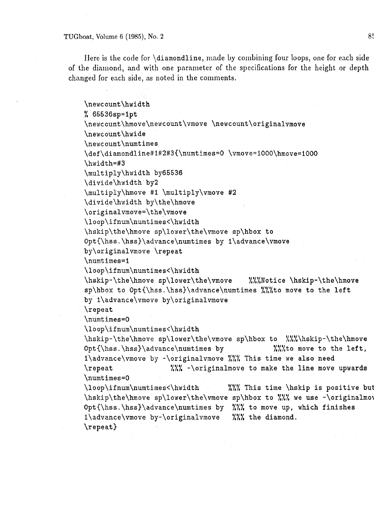#### TUGboat, Volume 6 **(1985),** No. **2** 85

Here is the code for  $\dagger$  diamondline, made by combining four loops, one for each side of the diamond, and with one parameter of the specifications for the height or depth changed for each side, as noted in the comments.

\newcount\hwidth % 65536sp=ipt **\newcount\hmove\newcount\vmove** \newcount\originalvmove \newc ount\hwide \newc ount\numtimes **\def\diamondline#l#2#3{\numtlmes=0** \vmove=I000\hmove=i000 \hwidth=#3 \multiply\hwidth by65536 \divide\hwidth by2 \multiply\hmove #I \multiply\vmove **#2**  \divide\hwidth by\the\hmove **\originalvmove=\the\vmove \loop\ifnum\numtimes<\hwidth**  \hskip\the\hmove sp\lower\the\vmove sp\hbox to Opt{\hss . \hss)\advance\numtimes by i\advance\vmove by\originalvmove \repeat \numt imes=i \loop\if num\numtimes<\hwidth \hskip-\the\hmove sp\lower\the\vmove %%%Notice \hskip-\the\hmove sp\hbox to **Opt{\hss.\hs~)\advance\numtimes** %%%to move to the left by l\advance\vmove by\originalvmove \repeat \numt imes=O \loop\if num\numtimes<\hwidth \hskip-\the\hmove sp\lower\the\vmove sp\hbox to %%%\hskip-\the\hmove Opt{\hss.\hss}\advance\numtimes by  $\frac{N}{\text{to move to the left}}$ 1\advance\vmove by -\originalvmove %%% This time we also need<br>\repeat  $\frac{W}{W}$  -\originalmove to make the line move  $\frac{1}{2}$  -\originalmove to make the line move upwards \numtimes=O \loop\ifnum\numtimes<\hwidth **777 XXX** This time \hskip is positive but \hskip\the\hmove sp\lower\the\vmove sp\hbox to %%% we use -\originalmove \loop\ifnum\numtimes<\hwidth %%% This time \hskip is positive<br>\hskip\the\hmove sp\lower\the\vmove sp\hbox to %%% we use -\original<br>Opt{\hss.\hss}\advance\numtimes by %%% to move up, which finishes<br>1\advance\umove by \origi  $1\ad$ vance $\varepsilon$  by- $\or$ iginalvmove  $\frac{\varepsilon}{\varepsilon}$  the diamond. \repeat)